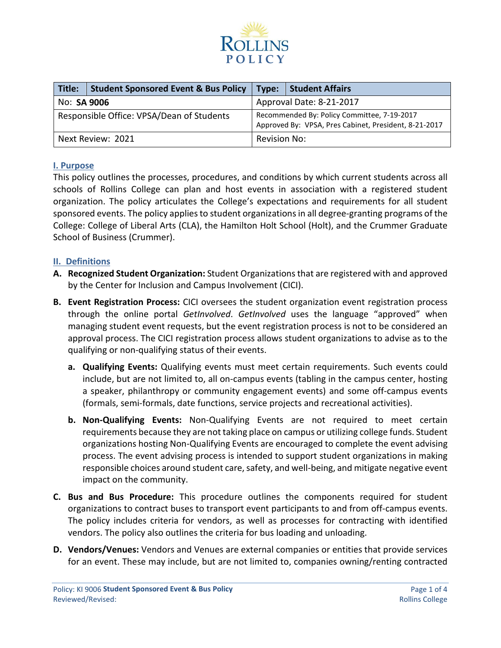

| Title:                                    | <b>Student Sponsored Event &amp; Bus Policy</b> | Type:                                                                                                | <b>Student Affairs</b> |  |
|-------------------------------------------|-------------------------------------------------|------------------------------------------------------------------------------------------------------|------------------------|--|
| No: <b>SA 9006</b>                        |                                                 | Approval Date: 8-21-2017                                                                             |                        |  |
| Responsible Office: VPSA/Dean of Students |                                                 | Recommended By: Policy Committee, 7-19-2017<br>Approved By: VPSA, Pres Cabinet, President, 8-21-2017 |                        |  |
|                                           | Next Review: 2021                               | Revision No:                                                                                         |                        |  |

### **I. Purpose**

This policy outlines the processes, procedures, and conditions by which current students across all schools of Rollins College can plan and host events in association with a registered student organization. The policy articulates the College's expectations and requirements for all student sponsored events. The policy applies to student organizations in all degree-granting programs of the College: College of Liberal Arts (CLA), the Hamilton Holt School (Holt), and the Crummer Graduate School of Business (Crummer).

### **II. Definitions**

- **A. Recognized Student Organization:** Student Organizations that are registered with and approved by the Center for Inclusion and Campus Involvement (CICI).
- **B. Event Registration Process:** CICI oversees the student organization event registration process through the online portal *GetInvolved*. *GetInvolved* uses the language "approved" when managing student event requests, but the event registration process is not to be considered an approval process. The CICI registration process allows student organizations to advise as to the qualifying or non-qualifying status of their events.
	- **a. Qualifying Events:** Qualifying events must meet certain requirements. Such events could include, but are not limited to, all on-campus events (tabling in the campus center, hosting a speaker, philanthropy or community engagement events) and some off-campus events (formals, semi-formals, date functions, service projects and recreational activities).
	- **b. Non-Qualifying Events:** Non-Qualifying Events are not required to meet certain requirements because they are not taking place on campus or utilizing college funds. Student organizations hosting Non-Qualifying Events are encouraged to complete the event advising process. The event advising process is intended to support student organizations in making responsible choices around student care, safety, and well-being, and mitigate negative event impact on the community.
- **C. Bus and Bus Procedure:** This procedure outlines the components required for student organizations to contract buses to transport event participants to and from off-campus events. The policy includes criteria for vendors, as well as processes for contracting with identified vendors. The policy also outlines the criteria for bus loading and unloading.
- **D. Vendors/Venues:** Vendors and Venues are external companies or entities that provide services for an event. These may include, but are not limited to, companies owning/renting contracted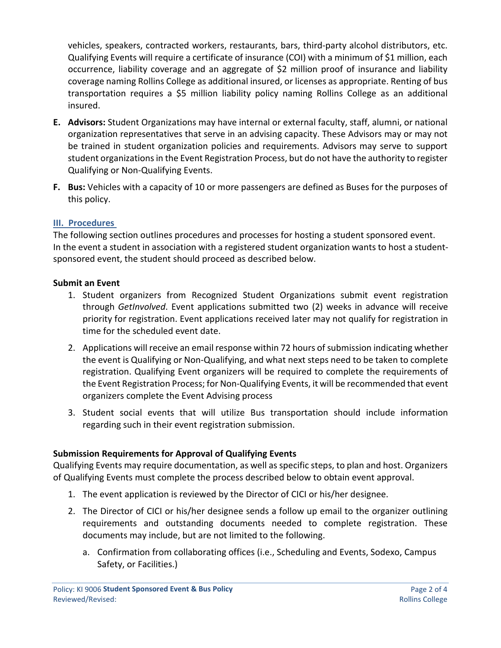vehicles, speakers, contracted workers, restaurants, bars, third-party alcohol distributors, etc. Qualifying Events will require a certificate of insurance (COI) with a minimum of \$1 million, each occurrence, liability coverage and an aggregate of \$2 million proof of insurance and liability coverage naming Rollins College as additional insured, or licenses as appropriate. Renting of bus transportation requires a \$5 million liability policy naming Rollins College as an additional insured.

- **E. Advisors:** Student Organizations may have internal or external faculty, staff, alumni, or national organization representatives that serve in an advising capacity. These Advisors may or may not be trained in student organization policies and requirements. Advisors may serve to support student organizations in the Event Registration Process, but do not have the authority to register Qualifying or Non-Qualifying Events.
- **F. Bus:** Vehicles with a capacity of 10 or more passengers are defined as Buses for the purposes of this policy.

# **III. Procedures**

The following section outlines procedures and processes for hosting a student sponsored event. In the event a student in association with a registered student organization wants to host a studentsponsored event, the student should proceed as described below.

# **Submit an Event**

- 1. Student organizers from Recognized Student Organizations submit event registration through *GetInvolved*. Event applications submitted two (2) weeks in advance will receive priority for registration. Event applications received later may not qualify for registration in time for the scheduled event date.
- 2. Applications will receive an email response within 72 hours of submission indicating whether the event is Qualifying or Non-Qualifying, and what next steps need to be taken to complete registration. Qualifying Event organizers will be required to complete the requirements of the Event Registration Process; for Non-Qualifying Events, it will be recommended that event organizers complete the Event Advising process
- 3. Student social events that will utilize Bus transportation should include information regarding such in their event registration submission.

# **Submission Requirements for Approval of Qualifying Events**

Qualifying Events may require documentation, as well as specific steps, to plan and host. Organizers of Qualifying Events must complete the process described below to obtain event approval.

- 1. The event application is reviewed by the Director of CICI or his/her designee.
- 2. The Director of CICI or his/her designee sends a follow up email to the organizer outlining requirements and outstanding documents needed to complete registration. These documents may include, but are not limited to the following.
	- a. Confirmation from collaborating offices (i.e., Scheduling and Events, Sodexo, Campus Safety, or Facilities.)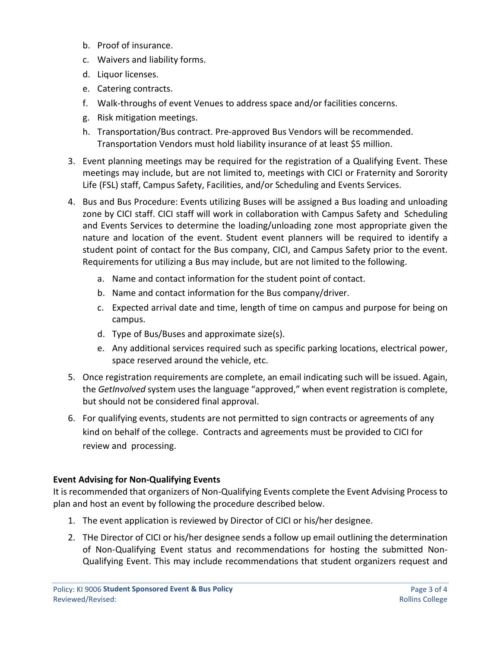- b. Proof of insurance.
- c. Waivers and liability forms.
- d. Liquor licenses.
- e. Catering contracts.
- f. Walk-throughs of event Venues to address space and/or facilities concerns.
- g. Risk mitigation meetings.
- h. Transportation/Bus contract. Pre-approved Bus Vendors will be recommended. Transportation Vendors must hold liability insurance of at least \$5 million.
- 3. Event planning meetings may be required for the registration of a Qualifying Event. These meetings may include, but are not limited to, meetings with CICI or Fraternity and Sorority Life (FSL) staff, Campus Safety, Facilities, and/or Scheduling and Events Services.
- 4. Bus and Bus Procedure: Events utilizing Buses will be assigned a Bus loading and unloading zone by CICI staff. CICI staff will work in collaboration with Campus Safety and Scheduling and Events Services to determine the loading/unloading zone most appropriate given the nature and location of the event. Student event planners will be required to identify a student point of contact for the Bus company, CICI, and Campus Safety prior to the event. Requirements for utilizing a Bus may include, but are not limited to the following.
	- a. Name and contact information for the student point of contact.
	- b. Name and contact information for the Bus company/driver.
	- c. Expected arrival date and time, length of time on campus and purpose for being on campus.
	- d. Type of Bus/Buses and approximate size(s).
	- e. Any additional services required such as specific parking locations, electrical power, space reserved around the vehicle, etc.
- 5. Once registration requirements are complete, an email indicating such will be issued. Again, the *GetInvolved* system uses the language "approved," when event registration is complete, but should not be considered final approval.
- 6. For qualifying events, students are not permitted to sign contracts or agreements of any kind on behalf of the college. Contracts and agreements must be provided to CICI for review and processing.

# **Event Advising for Non-Qualifying Events**

It is recommended that organizers of Non-Qualifying Events complete the Event Advising Process to plan and host an event by following the procedure described below.

- 1. The event application is reviewed by Director of CICI or his/her designee.
- 2. THe Director of CICI or his/her designee sends a follow up email outlining the determination of Non-Qualifying Event status and recommendations for hosting the submitted Non-Qualifying Event. This may include recommendations that student organizers request and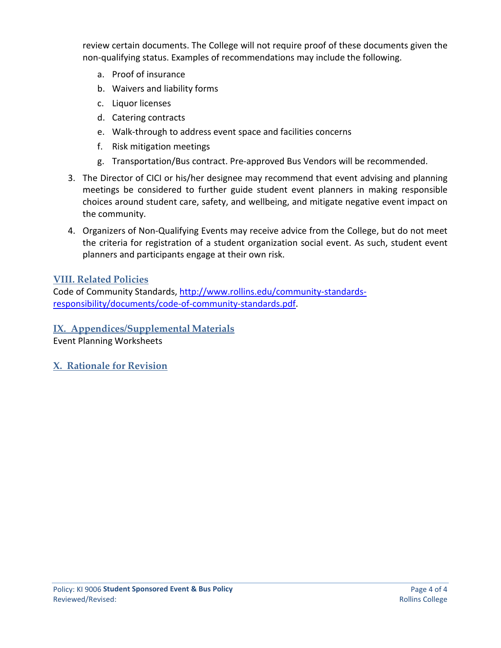review certain documents. The College will not require proof of these documents given the non-qualifying status. Examples of recommendations may include the following.

- a. Proof of insurance
- b. Waivers and liability forms
- c. Liquor licenses
- d. Catering contracts
- e. Walk-through to address event space and facilities concerns
- f. Risk mitigation meetings
- g. Transportation/Bus contract. Pre-approved Bus Vendors will be recommended.
- 3. The Director of CICI or his/her designee may recommend that event advising and planning meetings be considered to further guide student event planners in making responsible choices around student care, safety, and wellbeing, and mitigate negative event impact on the community.
- 4. Organizers of Non-Qualifying Events may receive advice from the College, but do not meet the criteria for registration of a student organization social event. As such, student event planners and participants engage at their own risk.

# **VIII. Related Policies**

Code of Community Standards, [http://www.rollins.edu/community-standards](http://www.rollins.edu/community-standards-responsibility/documents/code-of-community-standards.pdf)[responsibility/documents/code-of-community-standards.pdf.](http://www.rollins.edu/community-standards-responsibility/documents/code-of-community-standards.pdf)

**IX. Appendices/Supplemental Materials**

Event Planning Worksheets

**X. Rationale for Revision**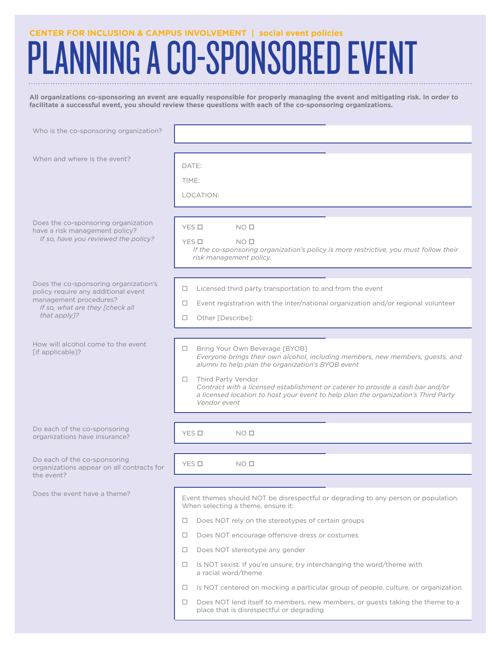# PLANNING A CO-SPONSORED EVENT

**All organizations co-sponsoring an event are equally responsible for properly managing the event and mitigating risk. In order to facilitate a successful event, you should review these questions with each of the co-sponsoring organizations.**

| Who is the co-sponsoring organization?                                                                                                                    |                                                                                                                                                                                                                                                                                                                                                                                                                                                                                                                                                                                                                 |
|-----------------------------------------------------------------------------------------------------------------------------------------------------------|-----------------------------------------------------------------------------------------------------------------------------------------------------------------------------------------------------------------------------------------------------------------------------------------------------------------------------------------------------------------------------------------------------------------------------------------------------------------------------------------------------------------------------------------------------------------------------------------------------------------|
| When and where is the event?                                                                                                                              | DATE:<br>TIME:<br>LOCATION:                                                                                                                                                                                                                                                                                                                                                                                                                                                                                                                                                                                     |
| Does the co-sponsoring organization<br>have a risk management policy?<br>If so, have you reviewed the policy?                                             | YES □<br>NO <sub>0</sub><br>YES O<br>NO <sub>0</sub><br>If the co-sponsoring organization's policy is more restrictive, you must follow their<br>risk management policy.                                                                                                                                                                                                                                                                                                                                                                                                                                        |
| Does the co-sponsoring organization's<br>policy require any additional event<br>management procedures?<br>If so, what are they [check all<br>that apply]? | Licensed third party transportation to and from the event<br>Event registration with the inter/national organization and/or regional volunteer<br>□<br>Other [Describe]:<br>□                                                                                                                                                                                                                                                                                                                                                                                                                                   |
| How will alcohol come to the event<br>[if applicable]?                                                                                                    | Bring Your Own Beverage [BYOB]<br>□.<br>Everyone brings their own alcohol, including members, new members, guests, and<br>alumni to help plan the organization's BYOB event<br>Third Party Vendor<br>Contract with a licensed establishment or caterer to provide a cash bar and/or<br>a licensed location to host your event to help plan the organization's Third Party<br>Vendor event                                                                                                                                                                                                                       |
| Do each of the co-sponsoring<br>organizations have insurance?                                                                                             | YES O<br>NO <sub>0</sub>                                                                                                                                                                                                                                                                                                                                                                                                                                                                                                                                                                                        |
| Do each of the co-sponsoring<br>organizations appear on all contracts for<br>the event?                                                                   | YES O<br>NO <sub>0</sub>                                                                                                                                                                                                                                                                                                                                                                                                                                                                                                                                                                                        |
| Does the event have a theme?                                                                                                                              | Event themes should NOT be disrespectful or degrading to any person or population.<br>When selecting a theme, ensure it:<br>Does NOT rely on the stereotypes of certain groups<br>□<br>Does NOT encourage offensive dress or costumes<br>$\Box$<br>Does NOT stereotype any gender<br>□<br>Is NOT sexist. If you're unsure, try interchanging the word/theme with<br>a racial word/theme<br>Is NOT centered on mocking a particular group of people, culture, or organization.<br>□<br>Does NOT lend itself to members, new members, or guests taking the theme to a<br>place that is disrespectful or degrading |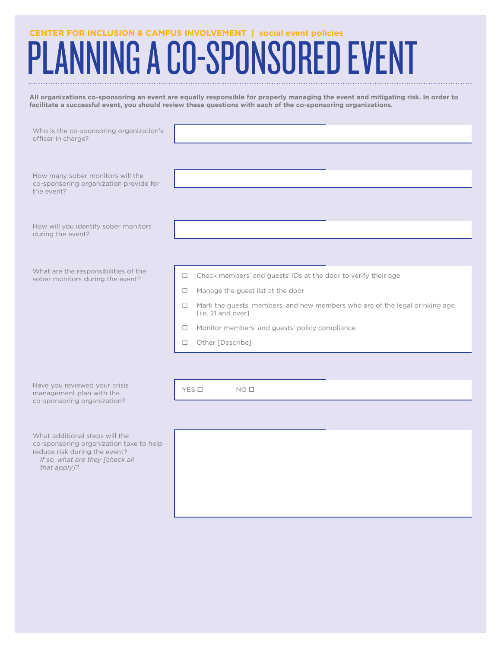# PLANNING A CO-SPONSORED EVENT

**All organizations co-sponsoring an event are equally responsible for properly managing the event and mitigating risk. In order to facilitate a successful event, you should review these questions with each of the co-sponsoring organizations.**

| Who is the co-sponsoring organization's<br>officer in charge?                                              |                                                                                                             |
|------------------------------------------------------------------------------------------------------------|-------------------------------------------------------------------------------------------------------------|
|                                                                                                            |                                                                                                             |
| How many sober monitors will the<br>co-sponsoring organization provide for<br>the event?                   |                                                                                                             |
|                                                                                                            |                                                                                                             |
| How will you identify sober monitors<br>during the event?                                                  |                                                                                                             |
|                                                                                                            |                                                                                                             |
| What are the responsibilities of the<br>sober monitors during the event?                                   | Check members' and guests' IDs at the door to verify their age<br>$\Box$                                    |
|                                                                                                            | Manage the guest list at the door<br>$\Box$                                                                 |
|                                                                                                            | Mark the guests, members, and new members who are of the legal drinking age<br>$\Box$<br>[i.e. 21 and over] |
|                                                                                                            | Monitor members' and guests' policy compliance<br>□                                                         |
|                                                                                                            | Other [Describe]<br>0                                                                                       |
|                                                                                                            |                                                                                                             |
|                                                                                                            |                                                                                                             |
| Have you reviewed your crisis<br>management plan with the                                                  | YES O<br>NO <sub>0</sub>                                                                                    |
| co-sponsoring organization?                                                                                |                                                                                                             |
|                                                                                                            |                                                                                                             |
| What additional steps will the<br>co-sponsoring organization take to help<br>reduce risk during the event? |                                                                                                             |

*If so, what are they [check all that apply]?*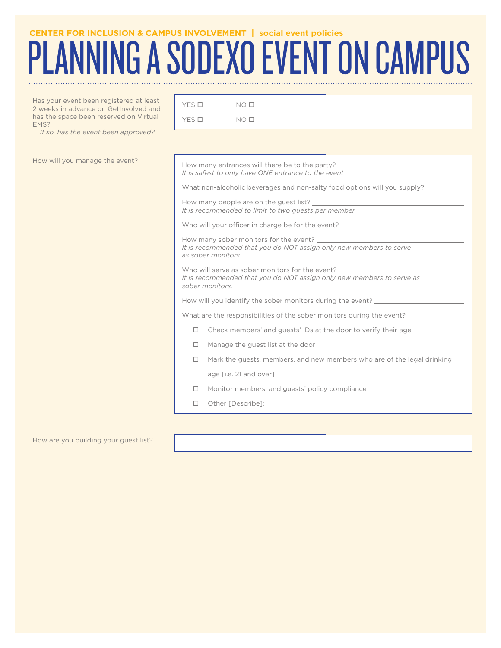# PLANNING A SODEXO EVENT ON CAMPUS

 $YES$  O  $NO$  O  $\Box$  $YES \Box$  NO  $\Box$ 

Has your event been registered at least 2 weeks in advance on GetInvolved and has the space been reserved on Virtual EMS?

*If so, has the event been approved?*

| How will you manage the event? | How many entrances will there be to the party?<br>It is safest to only have ONE entrance to the event                                       |
|--------------------------------|---------------------------------------------------------------------------------------------------------------------------------------------|
|                                | What non-alcoholic beverages and non-salty food options will you supply? ________                                                           |
|                                | How many people are on the quest list?<br>It is recommended to limit to two guests per member                                               |
|                                | Who will your officer in charge be for the event? ______________________________                                                            |
|                                | It is recommended that you do NOT assign only new members to serve<br>as sober monitors.                                                    |
|                                | Who will serve as sober monitors for the event?<br>It is recommended that you do NOT assign only new members to serve as<br>sober monitors. |
|                                | How will you identify the sober monitors during the event?                                                                                  |
|                                | What are the responsibilities of the sober monitors during the event?                                                                       |
|                                | Check members' and guests' IDs at the door to verify their age<br>□                                                                         |
|                                | Manage the guest list at the door<br>$\Box$                                                                                                 |
|                                | Mark the guests, members, and new members who are of the legal drinking<br>$\Box$                                                           |
|                                | age [i.e. 21 and over]                                                                                                                      |
|                                | Monitor members' and guests' policy compliance                                                                                              |
|                                | П.                                                                                                                                          |
|                                |                                                                                                                                             |

#### How are you building your guest list?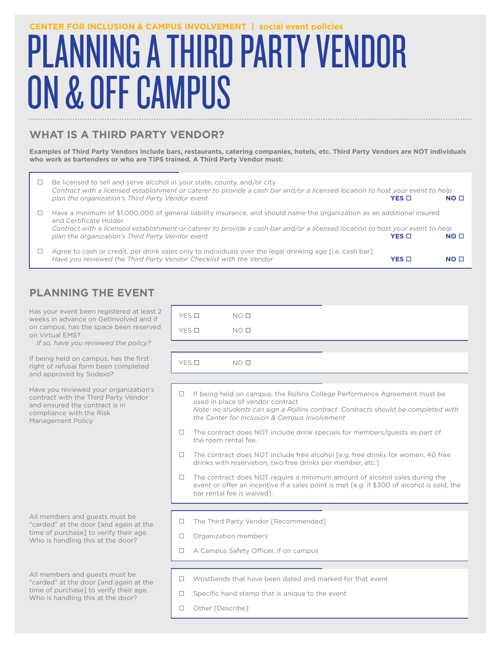# PLANNING A THIRD PARTY VENDOR ON & OFF CAMPUS **CENTER FOR INCLUSION & CAMPUS INVOLVEMENT | social event policies**

# **WHAT IS A THIRD PARTY VENDOR?**

**Examples of Third Party Vendors include bars, restaurants, catering companies, hotels, etc. Third Party Vendors are NOT individuals who work as bartenders or who are TIPS trained. A Third Party Vendor must:**

| Be licensed to sell and serve alcohol in your state, county, and/or city<br>Contract with a licensed establishment or caterer to provide a cash bar and/or a licensed location to host your event to help<br>plan the organization's Third Party Vendor event                                                                           | $YES \Box$ | NO <sub>0</sub> |
|-----------------------------------------------------------------------------------------------------------------------------------------------------------------------------------------------------------------------------------------------------------------------------------------------------------------------------------------|------------|-----------------|
| Have a minimum of \$1,000,000 of general liability insurance, and should name the organization as an additional insured<br>and Certificate Holder.<br>Contract with a licensed establishment or caterer to provide a cash bar and/or a licensed location to host your event to help<br>plan the organization's Third Party Vendor event | $YES \Box$ | NO <sub>0</sub> |
| Agree to cash or credit, per drink sales only to individuals over the legal drinking age [i.e. cash bar]<br>Have you reviewed the Third Party Vendor Checklist with the Vendor                                                                                                                                                          | YES ⊡      | NO I            |

# **PLANNING THE EVENT**

Has your event been registered at least 2 weeks in advance on GetInvolved and if on campus, has the space been reserved on Virtual EMS?

*If so, have you reviewed the policy?*

If being held on campus, has the first right of refusal form been completed and approved by Sodexo?

Have you reviewed your organization's contract with the Third Party Vendor and ensured the contract is in compliance with the Risk Management Policy

All members and guests must be "carded" at the door [and again at the time of purchase] to verify their age. Who is handling this at the door?

All members and guests must be "carded" at the door [and again at the time of purchase] to verify their age. Who is handling this at the door?

|        | YES O<br>NO <sub>II</sub>                                                                                                                                                                                                                            |  |  |  |  |  |
|--------|------------------------------------------------------------------------------------------------------------------------------------------------------------------------------------------------------------------------------------------------------|--|--|--|--|--|
|        | YES O<br>NO <sub>0</sub>                                                                                                                                                                                                                             |  |  |  |  |  |
|        |                                                                                                                                                                                                                                                      |  |  |  |  |  |
|        | YES O<br>NO <sub>0</sub>                                                                                                                                                                                                                             |  |  |  |  |  |
|        |                                                                                                                                                                                                                                                      |  |  |  |  |  |
| $\Box$ | If being held on campus, the Rollins College Performance Agreement must be<br>used in place of vendor contract<br>Note: no students can sign a Rollins contract. Contracts should be completed with<br>the Center for Inclusion & Campus Involvement |  |  |  |  |  |
| $\Box$ | The contract does NOT include drink specials for members/guests as part of<br>the room rental fee.                                                                                                                                                   |  |  |  |  |  |
| $\Box$ | The contract does NOT include free alcohol [e.g. free drinks for women, 40 free<br>drinks with reservation, two free drinks per member, etc.]                                                                                                        |  |  |  |  |  |
| $\Box$ | The contract does NOT require a minimum amount of alcohol sales during the<br>event or offer an incentive if a sales point is met [e.g. if \$300 of alcohol is sold, the<br>bar rental fee is waived].                                               |  |  |  |  |  |
|        |                                                                                                                                                                                                                                                      |  |  |  |  |  |
| $\Box$ | The Third Party Vendor [Recommended]                                                                                                                                                                                                                 |  |  |  |  |  |
| $\Box$ | Organization members                                                                                                                                                                                                                                 |  |  |  |  |  |
| П.     | A Campus Safety Officer, if on campus                                                                                                                                                                                                                |  |  |  |  |  |
|        |                                                                                                                                                                                                                                                      |  |  |  |  |  |
| П.     | Wristbands that have been dated and marked for that event                                                                                                                                                                                            |  |  |  |  |  |
|        | Specific hand stamp that is unique to the event                                                                                                                                                                                                      |  |  |  |  |  |

□ Other [Describe]: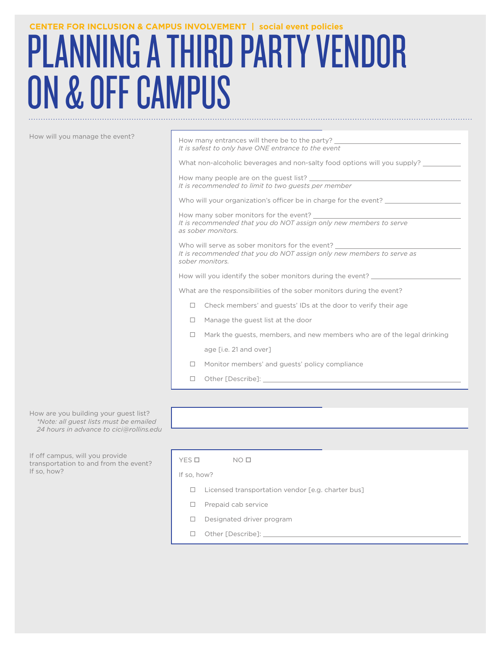# PLANNING A THIRD PARTY VENDOR ON & OFF CAMPUS **CENTER FOR INCLUSION & CAMPUS INVOLVEMENT | social event policies**

| How will you manage the event? | How many entrances will there be to the party?<br>It is safest to only have ONE entrance to the event                                       |  |  |
|--------------------------------|---------------------------------------------------------------------------------------------------------------------------------------------|--|--|
|                                | What non-alcoholic beverages and non-salty food options will you supply?                                                                    |  |  |
|                                | How many people are on the guest list? The many people are on the guest list?<br>It is recommended to limit to two guests per member        |  |  |
|                                | Who will your organization's officer be in charge for the event?                                                                            |  |  |
|                                | How many sober monitors for the event?<br>It is recommended that you do NOT assign only new members to serve<br>as sober monitors.          |  |  |
|                                | Who will serve as sober monitors for the event?<br>It is recommended that you do NOT assign only new members to serve as<br>sober monitors. |  |  |
|                                | How will you identify the sober monitors during the event?                                                                                  |  |  |
|                                | What are the responsibilities of the sober monitors during the event?                                                                       |  |  |
|                                | Check members' and quests' IDs at the door to verify their age                                                                              |  |  |
|                                | Manage the guest list at the door                                                                                                           |  |  |
|                                | Mark the quests, members, and new members who are of the legal drinking                                                                     |  |  |
|                                | age [i.e. 21 and over]                                                                                                                      |  |  |
|                                | Monitor members' and guests' policy compliance                                                                                              |  |  |
|                                | Other [Describe]:                                                                                                                           |  |  |
|                                |                                                                                                                                             |  |  |

How are you building your guest list? *\*Note: all guest lists must be emailed 24 hours in advance to cici@rollins.edu*

If off campus, will you provide transportation to and from the event? If so, how?

| YES O       | NO <sub>0</sub>                                   |
|-------------|---------------------------------------------------|
| If so, how? |                                                   |
| $\Box$      | Licensed transportation vendor [e.g. charter bus] |
| $\Box$      | Prepaid cab service                               |
| $\Box$      | Designated driver program                         |
|             | Other [Describe]:                                 |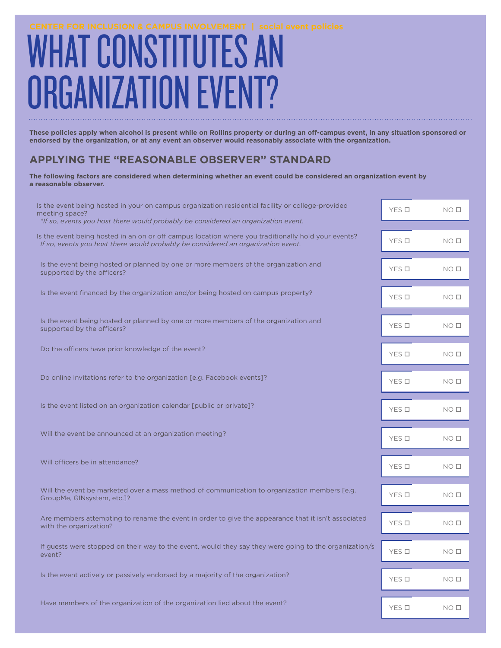# WHAT CONSTITUTES AN GANIZATION FVENT?

**These policies apply when alcohol is present while on Rollins property or during an off-campus event, in any situation sponsored or endorsed by the organization, or at any event an observer would reasonably associate with the organization.**

# **APPLYING THE "REASONABLE OBSERVER" STANDARD**

**The following factors are considered when determining whether an event could be considered an organization event by a reasonable observer.**

| Is the event being hosted in your on campus organization residential facility or college-provided<br>meeting space?<br>*If so, events you host there would probably be considered an organization event. | YES O | NO <sub>0</sub> |
|----------------------------------------------------------------------------------------------------------------------------------------------------------------------------------------------------------|-------|-----------------|
|                                                                                                                                                                                                          |       |                 |
| Is the event being hosted in an on or off campus location where you traditionally hold your events?<br>If so, events you host there would probably be considered an organization event.                  | YES O | NO <sub>0</sub> |
| Is the event being hosted or planned by one or more members of the organization and<br>supported by the officers?                                                                                        | YES O | NO <sub>0</sub> |
| Is the event financed by the organization and/or being hosted on campus property?                                                                                                                        | YES O | NO <sub>0</sub> |
| Is the event being hosted or planned by one or more members of the organization and<br>supported by the officers?                                                                                        | YES O | NO <sub>0</sub> |
| Do the officers have prior knowledge of the event?                                                                                                                                                       | YES O | NO <sub>0</sub> |
| Do online invitations refer to the organization [e.g. Facebook events]?                                                                                                                                  | YES O | NO <sub>0</sub> |
| Is the event listed on an organization calendar [public or private]?                                                                                                                                     | YES O | NO <sub>0</sub> |
| Will the event be announced at an organization meeting?                                                                                                                                                  | YES O | NO <sub>0</sub> |
| Will officers be in attendance?                                                                                                                                                                          | YES O | NO <sub>0</sub> |
| Will the event be marketed over a mass method of communication to organization members [e.g.<br>GroupMe, GINsystem, etc.]?                                                                               | YES O | NO <sub>0</sub> |
| Are members attempting to rename the event in order to give the appearance that it isn't associated<br>with the organization?                                                                            | YES O | NO <sub>0</sub> |
| If guests were stopped on their way to the event, would they say they were going to the organization/s<br>event?                                                                                         | YES O | NO <sub>0</sub> |
| Is the event actively or passively endorsed by a majority of the organization?                                                                                                                           | YES O | NO <sub>0</sub> |
|                                                                                                                                                                                                          |       |                 |
| Have members of the organization of the organization lied about the event?                                                                                                                               | YES O | NO <sub>0</sub> |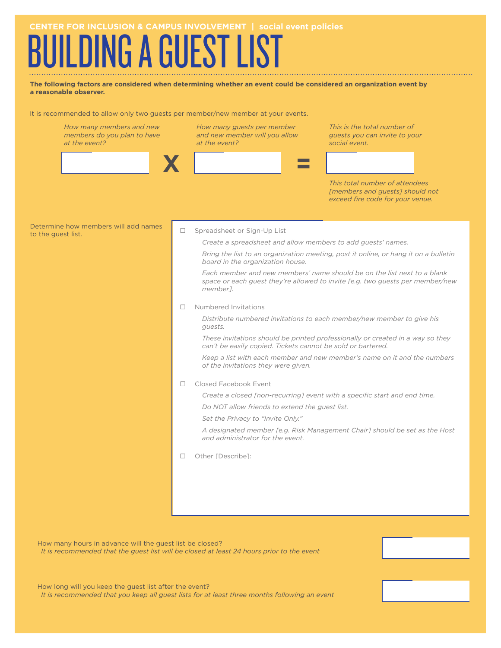# **JILDING A GUEST LIST**

**The following factors are considered when determining whether an event could be considered an organization event by a reasonable observer.**

It is recommended to allow only two guests per member/new member at your events.

| How many members and new<br>members do you plan to have<br>at the event? |        | How many guests per member<br>and new member will you allow<br>at the event?                                                                                                                                                                                                                                                                                                 | This is the total number of<br>guests you can invite to your<br>social event.                                                                                                                                                                   |  |  |
|--------------------------------------------------------------------------|--------|------------------------------------------------------------------------------------------------------------------------------------------------------------------------------------------------------------------------------------------------------------------------------------------------------------------------------------------------------------------------------|-------------------------------------------------------------------------------------------------------------------------------------------------------------------------------------------------------------------------------------------------|--|--|
|                                                                          |        |                                                                                                                                                                                                                                                                                                                                                                              | This total number of attendees<br>[members and guests] should not<br>exceed fire code for your venue.                                                                                                                                           |  |  |
| Determine how members will add names<br>to the guest list.               | $\Box$ | Spreadsheet or Sign-Up List<br>Create a spreadsheet and allow members to add guests' names.<br>board in the organization house.<br>member <sub>7</sub> .                                                                                                                                                                                                                     | Bring the list to an organization meeting, post it online, or hang it on a bulletin<br>Each member and new members' name should be on the list next to a blank<br>space or each guest they're allowed to invite [e.g. two guests per member/new |  |  |
|                                                                          | П      | Numbered Invitations<br>Distribute numbered invitations to each member/new member to give his<br>guests.<br>These invitations should be printed professionally or created in a way so they<br>can't be easily copied. Tickets cannot be sold or bartered.<br>Keep a list with each member and new member's name on it and the numbers<br>of the invitations they were given. |                                                                                                                                                                                                                                                 |  |  |
|                                                                          | $\Box$ | Closed Facebook Event<br>Do NOT allow friends to extend the guest list.<br>Set the Privacy to "Invite Only."<br>and administrator for the event.                                                                                                                                                                                                                             | Create a closed [non-recurring] event with a specific start and end time.<br>A designated member [e.g. Risk Management Chair] should be set as the Host                                                                                         |  |  |
|                                                                          | □      | Other [Describe]:                                                                                                                                                                                                                                                                                                                                                            |                                                                                                                                                                                                                                                 |  |  |

How many hours in advance will the guest list be closed? *It is recommended that the guest list will be closed at least 24 hours prior to the event*

How long will you keep the guest list after the event? *It is recommended that you keep all guest lists for at least three months following an event*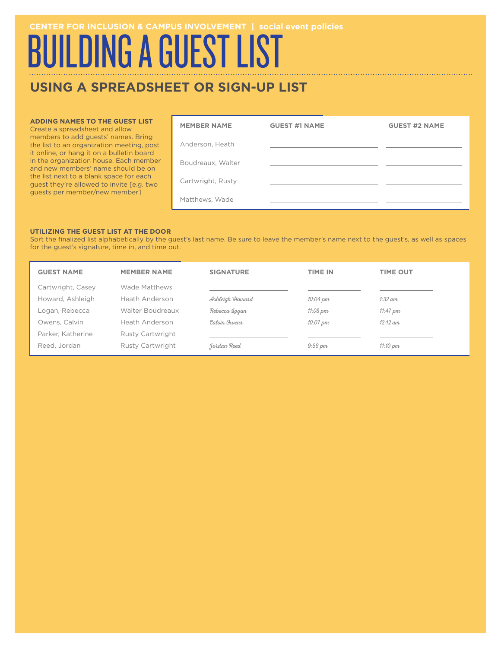# BUILDING A GUEST LIST

# **USING A SPREADSHEET OR SIGN-UP LIST**

#### **ADDING NAMES TO THE GUEST LIST**

Create a spreadsheet and allow members to add guests' names. Bring the list to an organization meeting, post it online, or hang it on a bulletin board in the organization house. Each member and new members' name should be on the list next to a blank space for each guest they're allowed to invite [e.g. two guests per member/new member]

| <b>MEMBER NAME</b> | <b>GUEST #1 NAME</b> | <b>GUEST #2 NAME</b> |
|--------------------|----------------------|----------------------|
| Anderson, Heath    |                      |                      |
| Boudreaux, Walter  |                      |                      |
| Cartwright, Rusty  |                      |                      |
| Matthews, Wade     |                      |                      |

#### **UTILIZING THE GUEST LIST AT THE DOOR**

Sort the finalized list alphabetically by the guest's last name. Be sure to leave the member's name next to the guest's, as well as spaces for the guest's signature, time in, and time out.

| <b>GUEST NAME</b> | <b>MEMBER NAME</b> | <b>SIGNATURE</b> | <b>TIME IN</b>       | <b>TIME OUT</b>    |
|-------------------|--------------------|------------------|----------------------|--------------------|
| Cartwright, Casey | Wade Matthews      |                  |                      |                    |
| Howard, Ashleigh  | Heath Anderson     | Ashleigh Howard  | $10:04 \, \text{pm}$ | $1:32$ am          |
| Logan, Rebecca    | Walter Boudreaux   | Rebecca Logan    | $11:08 \text{ pm}$   | 11:47 $pm$         |
| Owens, Calvin     | Heath Anderson     | Calvin Quens     | $10:07 \, \text{pm}$ | $12:12$ am         |
| Parker, Katherine | Rusty Cartwright   |                  |                      |                    |
| Reed, Jordan      | Rusty Cartwright   | Jordan Reed      | $9:56 \text{ pm}$    | $11:10 \text{ pm}$ |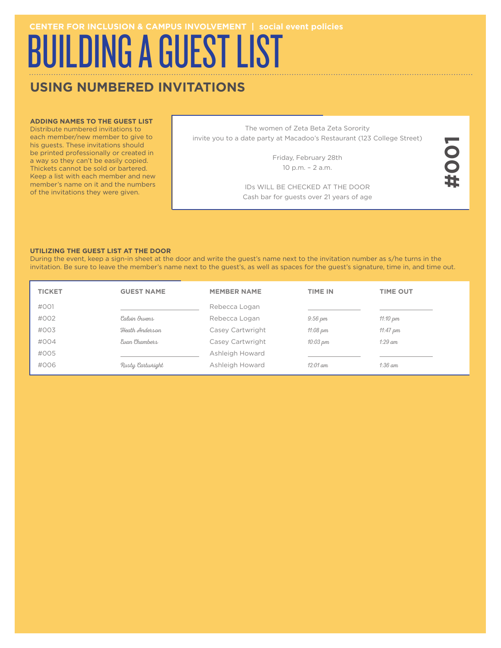# BUILDING A GUEST LIST

# **USING NUMBERED INVITATIONS**

#### **ADDING NAMES TO THE GUEST LIST**

Distribute numbered invitations to each member/new member to give to his guests. These invitations should be printed professionally or created in a way so they can't be easily copied. Thickets cannot be sold or bartered. Keep a list with each member and new member's name on it and the numbers of the invitations they were given. Example, the member's name next to the guest's, as well as spaces for the guest's signature, the example of the invitations they are given.<br>
Thickets cannot be solid or bartered.<br>
Thickets cannot be solid or bartered.<br>
Thi

The women of Zeta Beta Zeta Sorority invite you to a date party at Macadoo's Restaurant (123 College Street)

> Friday, February 28th 10 p.m. – 2 a.m.

IDs WILL BE CHECKED AT THE DOOR Cash bar for guests over 21 years of age

#### **UTILIZING THE GUEST LIST AT THE DOOR**

During the event, keep a sign-in sheet at the door and write the guest's name next to the invitation number as s/he turns in the

| <b>TICKET</b> | <b>GUEST NAME</b> | <b>MEMBER NAME</b> | <b>TIME IN</b>       | <b>TIME OUT</b> |
|---------------|-------------------|--------------------|----------------------|-----------------|
| #001          |                   | Rebecca Logan      |                      |                 |
| #002          | Calvin Quens      | Rebecca Logan      | $9:56 \text{ pm}$    | 11:10 $pm$      |
| #003          | Heath Anderson    | Casey Cartwright   | $11:08 \text{ pm}$   | 11:47 $pm$      |
| #004          | Eugn Chambers     | Casey Cartwright   | $10:03 \, \text{pm}$ | $1:29$ am       |
| #005          |                   | Ashleigh Howard    |                      |                 |
| #006          | Rusty Cartwright  | Ashleigh Howard    | $12:01$ am           | $1:36$ am       |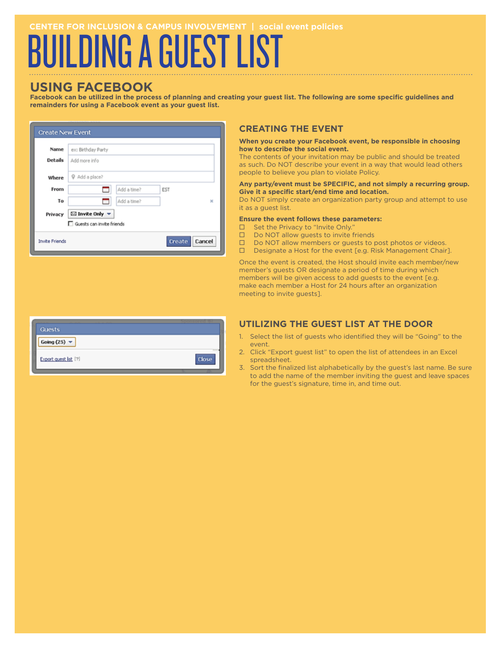# UILDING A GUEST LIST

# **USING FACEBOOK**

**Facebook can be utilized in the process of planning and creating your guest list. The following are some specific guidelines and remainders for using a Facebook event as your guest list.**

| <b>Create New Event</b>     |                                              |                       |  |  |  |
|-----------------------------|----------------------------------------------|-----------------------|--|--|--|
| Name                        | ex: Birthday Party                           |                       |  |  |  |
| Details                     | Add more info                                |                       |  |  |  |
| Where                       | @ Add a place?                               |                       |  |  |  |
| From                        | Add a time?<br>┓                             | <b>EST</b>            |  |  |  |
| To                          | Add a time?<br>⊐                             | $\boldsymbol{\times}$ |  |  |  |
| Privacy                     | $\boxtimes$ Invite Only $\blacktriangledown$ |                       |  |  |  |
| □ Guests can invite friends |                                              |                       |  |  |  |
| <b>Invite Friends</b>       |                                              | Create<br>Cancel      |  |  |  |

## **CREATING THE EVENT**

#### **When you create your Facebook event, be responsible in choosing how to describe the social event.**

The contents of your invitation may be public and should be treated as such. Do NOT describe your event in a way that would lead others people to believe you plan to violate Policy.

#### **Any party/event must be SPECIFIC, and not simply a recurring group. Give it a specific start/end time and location.**

Do NOT simply create an organization party group and attempt to use it as a guest list.

#### **Ensure the event follows these parameters:**

- $\square$  Set the Privacy to "Invite Only."
- $\square$  Do NOT allow guests to invite friends
- $\square$  Do NOT allow members or guests to post photos or videos.
- $\square$  Designate a Host for the event [e.g. Risk Management Chair].

Once the event is created, the Host should invite each member/new member's guests OR designate a period of time during which members will be given access to add guests to the event [e.g. make each member a Host for 24 hours after an organization meeting to invite guests].

| <b>Guests</b>                   |       |
|---------------------------------|-------|
| Going (25) $\blacktriangledown$ |       |
| Export quest list [?]           | Close |

### **UTILIZING THE GUEST LIST AT THE DOOR**

- 1. Select the list of guests who identified they will be "Going" to the event.
- 2. Click "Export guest list" to open the list of attendees in an Excel spreadsheet.
- 3. Sort the finalized list alphabetically by the guest's last name. Be sure to add the name of the member inviting the guest and leave spaces for the guest's signature, time in, and time out.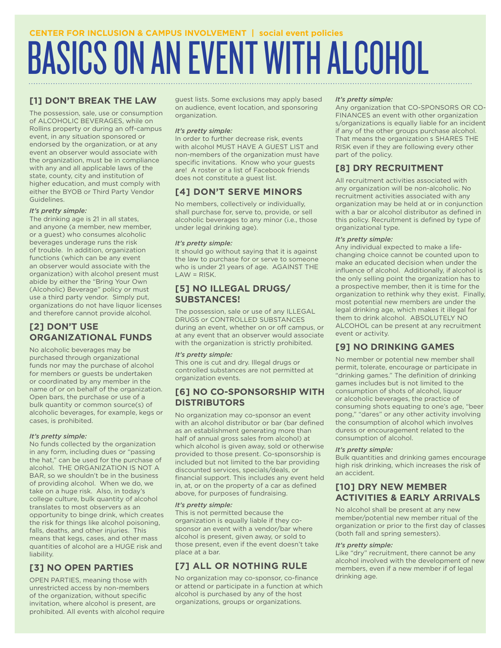# BASICS ON AN EVENT WITH ALCOHOL

## **[1] DON'T BREAK THE LAW**

The possession, sale, use or consumption of ALCOHOLIC BEVERAGES, while on Rollins property or during an off-campus event, in any situation sponsored or endorsed by the organization, or at any event an observer would associate with the organization, must be in compliance with any and all applicable laws of the state, county, city and institution of higher education, and must comply with either the BYOB or Third Party Vendor Guidelines.

#### *It's pretty simple:*

The drinking age is 21 in all states, and anyone (a member, new member, or a guest) who consumes alcoholic beverages underage runs the risk of trouble. In addition, organization functions (which can be any event an observer would associate with the organization) with alcohol present must abide by either the "Bring Your Own (Alcoholic) Beverage" policy or must use a third party vendor. Simply put, organizations do not have liquor licenses and therefore cannot provide alcohol.

### **[2] DON'T USE ORGANIZATIONAL FUNDS**

No alcoholic beverages may be purchased through organizational funds nor may the purchase of alcohol for members or guests be undertaken or coordinated by any member in the name of or on behalf of the organization. Open bars, the purchase or use of a bulk quantity or common source(s) of alcoholic beverages, for example, kegs or cases, is prohibited.

#### *It's pretty simple:*

No funds collected by the organization in any form, including dues or "passing the hat," can be used for the purchase of alcohol. THE ORGANIZATION IS NOT A BAR, so we shouldn't be in the business of providing alcohol. When we do, we take on a huge risk. Also, in today's college culture, bulk quantity of alcohol translates to most observers as an opportunity to binge drink, which creates the risk for things like alcohol poisoning, falls, deaths, and other injuries. This means that kegs, cases, and other mass quantities of alcohol are a HUGE risk and liability.

# **[3] NO OPEN PARTIES**

OPEN PARTIES, meaning those with unrestricted access by non-members of the organization, without specific invitation, where alcohol is present, are prohibited. All events with alcohol require guest lists. Some exclusions may apply based on audience, event location, and sponsoring organization.

#### *It's pretty simple:*

In order to further decrease risk, events with alcohol MUST HAVE A GUEST LIST and non-members of the organization must have specific invitations. Know who your guests are! A roster or a list of Facebook friends does not constitute a guest list.

# **[4] DON'T SERVE MINORS**

No members, collectively or individually, shall purchase for, serve to, provide, or sell alcoholic beverages to any minor (i.e., those under legal drinking age).

#### *It's pretty simple:*

It should go without saying that it is against the law to purchase for or serve to someone who is under 21 years of age. AGAINST THE LAW = RISK.

### **[5] NO ILLEGAL DRUGS/ SUBSTANCES!**

The possession, sale or use of any ILLEGAL DRUGS or CONTROLLED SUBSTANCES during an event, whether on or off campus, or at any event that an observer would associate with the organization is strictly prohibited.

#### *It's pretty simple:*

This one is cut and dry. Illegal drugs or controlled substances are not permitted at organization events.

### **[6] NO CO-SPONSORSHIP WITH DISTRIBUTORS**

No organization may co-sponsor an event with an alcohol distributor or bar (bar defined as an establishment generating more than half of annual gross sales from alcohol) at which alcohol is given away, sold or otherwise provided to those present. Co-sponsorship is included but not limited to the bar providing discounted services, specials/deals, or financial support. This includes any event held in, at, or on the property of a car as defined above, for purposes of fundraising.

#### *It's pretty simple:*

This is not permitted because the organization is equally liable if they cosponsor an event with a vendor/bar where alcohol is present, given away, or sold to those present, even if the event doesn't take place at a bar.

# **[7] ALL OR NOTHING RULE**

No organization may co-sponsor, co-finance or attend or participate in a function at which alcohol is purchased by any of the host organizations, groups or organizations.

#### *It's pretty simple:*

Any organization that CO-SPONSORS OR CO-FINANCES an event with other organization s/organizations is equally liable for an incident if any of the other groups purchase alcohol. That means the organization s SHARES THE RISK even if they are following every other part of the policy.

# **[8] DRY RECRUITMENT**

All recruitment activities associated with any organization will be non-alcoholic. No recruitment activities associated with any organization may be held at or in conjunction with a bar or alcohol distributor as defined in this policy. Recruitment is defined by type of organizational type.

#### *It's pretty simple:*

Any individual expected to make a lifechanging choice cannot be counted upon to make an educated decision when under the influence of alcohol. Additionally, if alcohol is the only selling point the organization has to a prospective member, then it is time for the organization to rethink why they exist. Finally, most potential new members are under the legal drinking age, which makes it illegal for them to drink alcohol. ABSOLUTELY NO ALCOHOL can be present at any recruitment event or activity.

### **[9] NO DRINKING GAMES**

No member or potential new member shall permit, tolerate, encourage or participate in "drinking games." The definition of drinking games includes but is not limited to the consumption of shots of alcohol, liquor or alcoholic beverages, the practice of consuming shots equating to one's age, "beer pong," "dares" or any other activity involving the consumption of alcohol which involves duress or encouragement related to the consumption of alcohol.

#### *It's pretty simple:*

Bulk quantities and drinking games encourage high risk drinking, which increases the risk of an accident.

### **[10] DRY NEW MEMBER ACTIVITIES & EARLY ARRIVALS**

No alcohol shall be present at any new member/potential new member ritual of the organization or prior to the first day of classes (both fall and spring semesters).

#### *It's pretty simple:*

Like "dry" recruitment, there cannot be any alcohol involved with the development of new members, even if a new member if of legal drinking age.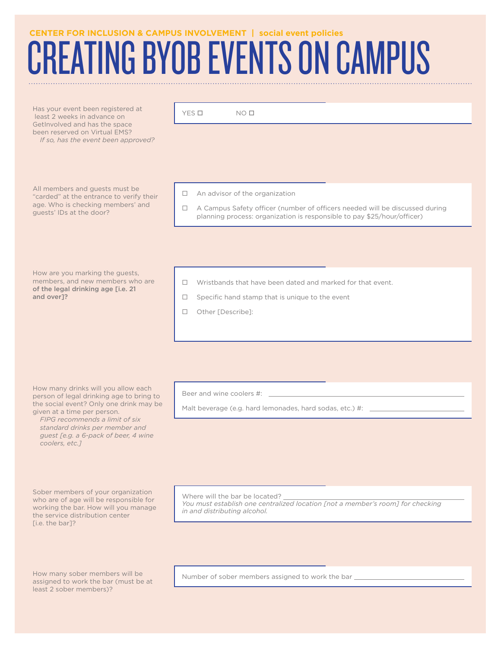# **REATING BYOB EVENTS ON CAMPUS**

Has your event been registered at least 2 weeks in advance on GetInvolved and has the space been reserved on Virtual EMS? *If so, has the event been approved?*

All members and guests must be "carded" at the entrance to verify their age. Who is checking members' and guests' IDs at the door?

 $YES \Box$  NO  $\Box$ 

 $\Box$  An advisor of the organization

 $\Box$  A Campus Safety officer (number of officers needed will be discussed during planning process: organization is responsible to pay \$25/hour/officer)

How are you marking the guests, members, and new members who are of the legal drinking age [i.e. 21 and over]?

- $\Box$  Wristbands that have been dated and marked for that event.
- $\square$  Specific hand stamp that is unique to the event
- □ Other [Describe]:

How many drinks will you allow each person of legal drinking age to bring to the social event? Only one drink may be given at a time per person.

*FIPG recommends a limit of six standard drinks per member and guest [e.g. a 6-pack of beer, 4 wine coolers, etc.]*

Sober members of your organization who are of age will be responsible for working the bar. How will you manage the service distribution center [i.e. the bar]?

How many sober members will be assigned to work the bar (must be at least 2 sober members)?

Beer and wine coolers #:

Malt beverage (e.g. hard lemonades, hard sodas, etc.) #:

Where will the bar be located? *You must establish one centralized location [not a member's room] for checking in and distributing alcohol.*

Number of sober members assigned to work the bar